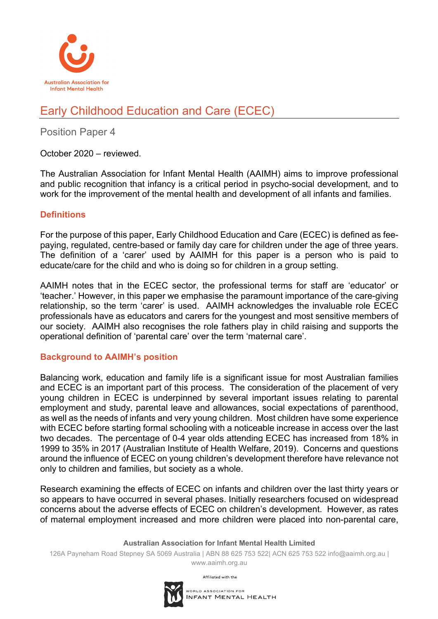

# Early Childhood Education and Care (ECEC)

## Position Paper 4

October 2020 – reviewed.

The Australian Association for Infant Mental Health (AAIMH) aims to improve professional and public recognition that infancy is a critical period in psycho-social development, and to work for the improvement of the mental health and development of all infants and families.

### **Definitions**

For the purpose of this paper, Early Childhood Education and Care (ECEC) is defined as feepaying, regulated, centre-based or family day care for children under the age of three years. The definition of a 'carer' used by AAIMH for this paper is a person who is paid to educate/care for the child and who is doing so for children in a group setting.

AAIMH notes that in the ECEC sector, the professional terms for staff are 'educator' or 'teacher.' However, in this paper we emphasise the paramount importance of the care-giving relationship, so the term 'carer' is used. AAIMH acknowledges the invaluable role ECEC professionals have as educators and carers for the youngest and most sensitive members of our society. AAIMH also recognises the role fathers play in child raising and supports the operational definition of 'parental care' over the term 'maternal care'.

### **Background to AAIMH's position**

Balancing work, education and family life is a significant issue for most Australian families and ECEC is an important part of this process. The consideration of the placement of very young children in ECEC is underpinned by several important issues relating to parental employment and study, parental leave and allowances, social expectations of parenthood, as well as the needs of infants and very young children. Most children have some experience with ECEC before starting formal schooling with a noticeable increase in access over the last two decades. The percentage of 0-4 year olds attending ECEC has increased from 18% in 1999 to 35% in 2017 (Australian Institute of Health Welfare, 2019). Concerns and questions around the influence of ECEC on young children's development therefore have relevance not only to children and families, but society as a whole.

Research examining the effects of ECEC on infants and children over the last thirty years or so appears to have occurred in several phases. Initially researchers focused on widespread concerns about the adverse effects of ECEC on children's development. However, as rates of maternal employment increased and more children were placed into non-parental care,

#### **Australian Association for Infant Mental Health Limited**

126A Payneham Road Stepney SA 5069 Australia | ABN 88 625 753 522| ACN 625 753 522 info@aaimh.org.au | www.aaimh.org.au



Affiliated with the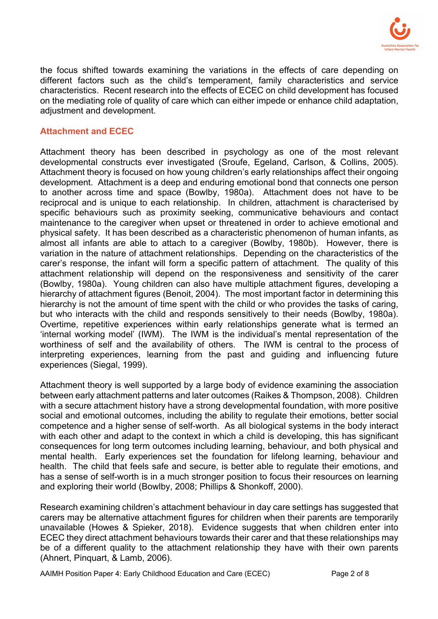

the focus shifted towards examining the variations in the effects of care depending on different factors such as the child's temperament, family characteristics and service characteristics. Recent research into the effects of ECEC on child development has focused on the mediating role of quality of care which can either impede or enhance child adaptation, adjustment and development.

#### **Attachment and ECEC**

Attachment theory has been described in psychology as one of the most relevant developmental constructs ever investigated (Sroufe, Egeland, Carlson, & Collins, 2005). Attachment theory is focused on how young children's early relationships affect their ongoing development. Attachment is a deep and enduring emotional bond that connects one person to another across time and space (Bowlby, 1980a). Attachment does not have to be reciprocal and is unique to each relationship. In children, attachment is characterised by specific behaviours such as proximity seeking, communicative behaviours and contact maintenance to the caregiver when upset or threatened in order to achieve emotional and physical safety. It has been described as a characteristic phenomenon of human infants, as almost all infants are able to attach to a caregiver (Bowlby, 1980b). However, there is variation in the nature of attachment relationships. Depending on the characteristics of the carer's response, the infant will form a specific pattern of attachment. The quality of this attachment relationship will depend on the responsiveness and sensitivity of the carer (Bowlby, 1980a). Young children can also have multiple attachment figures, developing a hierarchy of attachment figures (Benoit, 2004). The most important factor in determining this hierarchy is not the amount of time spent with the child or who provides the tasks of caring, but who interacts with the child and responds sensitively to their needs (Bowlby, 1980a). Overtime, repetitive experiences within early relationships generate what is termed an 'internal working model' (IWM). The IWM is the individual's mental representation of the worthiness of self and the availability of others. The IWM is central to the process of interpreting experiences, learning from the past and guiding and influencing future experiences (Siegal, 1999).

Attachment theory is well supported by a large body of evidence examining the association between early attachment patterns and later outcomes (Raikes & Thompson, 2008). Children with a secure attachment history have a strong developmental foundation, with more positive social and emotional outcomes, including the ability to regulate their emotions, better social competence and a higher sense of self-worth. As all biological systems in the body interact with each other and adapt to the context in which a child is developing, this has significant consequences for long term outcomes including learning, behaviour, and both physical and mental health. Early experiences set the foundation for lifelong learning, behaviour and health. The child that feels safe and secure, is better able to regulate their emotions, and has a sense of self-worth is in a much stronger position to focus their resources on learning and exploring their world (Bowlby, 2008; Phillips & Shonkoff, 2000).

Research examining children's attachment behaviour in day care settings has suggested that carers may be alternative attachment figures for children when their parents are temporarily unavailable (Howes & Spieker, 2018). Evidence suggests that when children enter into ECEC they direct attachment behaviours towards their carer and that these relationships may be of a different quality to the attachment relationship they have with their own parents (Ahnert, Pinquart, & Lamb, 2006).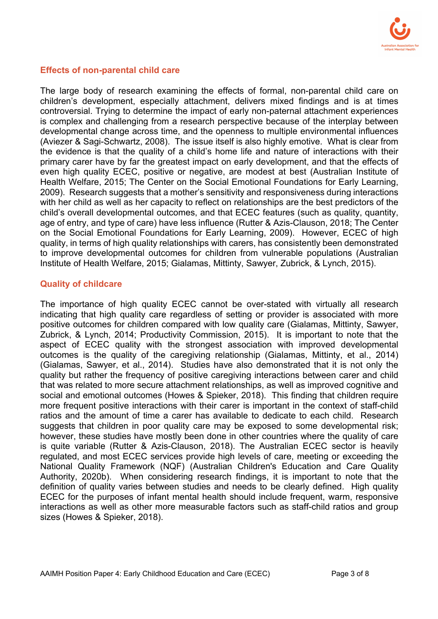

#### **Effects of non-parental child care**

The large body of research examining the effects of formal, non-parental child care on children's development, especially attachment, delivers mixed findings and is at times controversial. Trying to determine the impact of early non-paternal attachment experiences is complex and challenging from a research perspective because of the interplay between developmental change across time, and the openness to multiple environmental influences (Aviezer & Sagi-Schwartz, 2008). The issue itself is also highly emotive. What is clear from the evidence is that the quality of a child's home life and nature of interactions with their primary carer have by far the greatest impact on early development, and that the effects of even high quality ECEC, positive or negative, are modest at best (Australian Institute of Health Welfare, 2015; The Center on the Social Emotional Foundations for Early Learning, 2009). Research suggests that a mother's sensitivity and responsiveness during interactions with her child as well as her capacity to reflect on relationships are the best predictors of the child's overall developmental outcomes, and that ECEC features (such as quality, quantity, age of entry, and type of care) have less influence (Rutter & Azis-Clauson, 2018; The Center on the Social Emotional Foundations for Early Learning, 2009). However, ECEC of high quality, in terms of high quality relationships with carers, has consistently been demonstrated to improve developmental outcomes for children from vulnerable populations (Australian Institute of Health Welfare, 2015; Gialamas, Mittinty, Sawyer, Zubrick, & Lynch, 2015).

#### **Quality of childcare**

The importance of high quality ECEC cannot be over-stated with virtually all research indicating that high quality care regardless of setting or provider is associated with more positive outcomes for children compared with low quality care (Gialamas, Mittinty, Sawyer, Zubrick, & Lynch, 2014; Productivity Commission, 2015). It is important to note that the aspect of ECEC quality with the strongest association with improved developmental outcomes is the quality of the caregiving relationship (Gialamas, Mittinty, et al., 2014) (Gialamas, Sawyer, et al., 2014). Studies have also demonstrated that it is not only the quality but rather the frequency of positive caregiving interactions between carer and child that was related to more secure attachment relationships, as well as improved cognitive and social and emotional outcomes (Howes & Spieker, 2018). This finding that children require more frequent positive interactions with their carer is important in the context of staff-child ratios and the amount of time a carer has available to dedicate to each child. Research suggests that children in poor quality care may be exposed to some developmental risk; however, these studies have mostly been done in other countries where the quality of care is quite variable (Rutter & Azis-Clauson, 2018). The Australian ECEC sector is heavily regulated, and most ECEC services provide high levels of care, meeting or exceeding the National Quality Framework (NQF) (Australian Children's Education and Care Quality Authority, 2020b). When considering research findings, it is important to note that the definition of quality varies between studies and needs to be clearly defined. High quality ECEC for the purposes of infant mental health should include frequent, warm, responsive interactions as well as other more measurable factors such as staff-child ratios and group sizes (Howes & Spieker, 2018).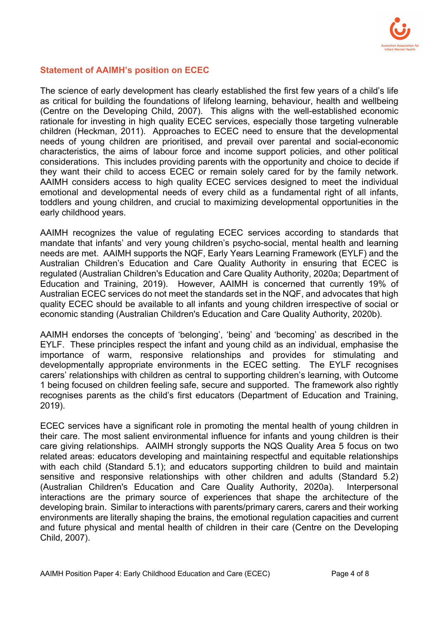

#### **Statement of AAIMH's position on ECEC**

The science of early development has clearly established the first few years of a child's life as critical for building the foundations of lifelong learning, behaviour, health and wellbeing (Centre on the Developing Child, 2007). This aligns with the well-established economic rationale for investing in high quality ECEC services, especially those targeting vulnerable children (Heckman, 2011). Approaches to ECEC need to ensure that the developmental needs of young children are prioritised, and prevail over parental and social-economic characteristics, the aims of labour force and income support policies, and other political considerations. This includes providing parents with the opportunity and choice to decide if they want their child to access ECEC or remain solely cared for by the family network. AAIMH considers access to high quality ECEC services designed to meet the individual emotional and developmental needs of every child as a fundamental right of all infants, toddlers and young children, and crucial to maximizing developmental opportunities in the early childhood years.

AAIMH recognizes the value of regulating ECEC services according to standards that mandate that infants' and very young children's psycho-social, mental health and learning needs are met. AAIMH supports the NQF, Early Years Learning Framework (EYLF) and the Australian Children's Education and Care Quality Authority in ensuring that ECEC is regulated (Australian Children's Education and Care Quality Authority, 2020a; Department of Education and Training, 2019). However, AAIMH is concerned that currently 19% of Australian ECEC services do not meet the standards set in the NQF, and advocates that high quality ECEC should be available to all infants and young children irrespective of social or economic standing (Australian Children's Education and Care Quality Authority, 2020b).

AAIMH endorses the concepts of 'belonging', 'being' and 'becoming' as described in the EYLF. These principles respect the infant and young child as an individual, emphasise the importance of warm, responsive relationships and provides for stimulating and developmentally appropriate environments in the ECEC setting. The EYLF recognises carers' relationships with children as central to supporting children's learning, with Outcome 1 being focused on children feeling safe, secure and supported. The framework also rightly recognises parents as the child's first educators (Department of Education and Training, 2019).

ECEC services have a significant role in promoting the mental health of young children in their care. The most salient environmental influence for infants and young children is their care giving relationships. AAIMH strongly supports the NQS Quality Area 5 focus on two related areas: educators developing and maintaining respectful and equitable relationships with each child (Standard 5.1); and educators supporting children to build and maintain sensitive and responsive relationships with other children and adults (Standard 5.2) (Australian Children's Education and Care Quality Authority, 2020a). Interpersonal interactions are the primary source of experiences that shape the architecture of the developing brain. Similar to interactions with parents/primary carers, carers and their working environments are literally shaping the brains, the emotional regulation capacities and current and future physical and mental health of children in their care (Centre on the Developing Child, 2007).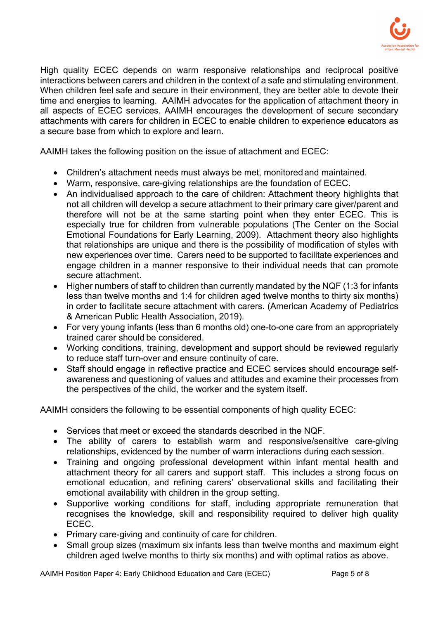

High quality ECEC depends on warm responsive relationships and reciprocal positive interactions between carers and children in the context of a safe and stimulating environment. When children feel safe and secure in their environment, they are better able to devote their time and energies to learning. AAIMH advocates for the application of attachment theory in all aspects of ECEC services. AAIMH encourages the development of secure secondary attachments with carers for children in ECEC to enable children to experience educators as a secure base from which to explore and learn.

AAIMH takes the following position on the issue of attachment and ECEC:

- Children's attachment needs must always be met, monitoredand maintained.
- Warm, responsive, care-giving relationships are the foundation of ECEC.
- An individualised approach to the care of children: Attachment theory highlights that not all children will develop a secure attachment to their primary care giver/parent and therefore will not be at the same starting point when they enter ECEC. This is especially true for children from vulnerable populations (The Center on the Social Emotional Foundations for Early Learning, 2009). Attachment theory also highlights that relationships are unique and there is the possibility of modification of styles with new experiences over time. Carers need to be supported to facilitate experiences and engage children in a manner responsive to their individual needs that can promote secure attachment.
- Higher numbers of staff to children than currently mandated by the NQF (1:3 for infants less than twelve months and 1:4 for children aged twelve months to thirty six months) in order to facilitate secure attachment with carers. (American Academy of Pediatrics & American Public Health Association, 2019).
- For very young infants (less than 6 months old) one-to-one care from an appropriately trained carer should be considered.
- Working conditions, training, development and support should be reviewed regularly to reduce staff turn-over and ensure continuity of care.
- Staff should engage in reflective practice and ECEC services should encourage selfawareness and questioning of values and attitudes and examine their processes from the perspectives of the child, the worker and the system itself.

AAIMH considers the following to be essential components of high quality ECEC:

- Services that meet or exceed the standards described in the NQF.
- The ability of carers to establish warm and responsive/sensitive care-giving relationships, evidenced by the number of warm interactions during each session.
- Training and ongoing professional development within infant mental health and attachment theory for all carers and support staff. This includes a strong focus on emotional education, and refining carers' observational skills and facilitating their emotional availability with children in the group setting.
- Supportive working conditions for staff, including appropriate remuneration that recognises the knowledge, skill and responsibility required to deliver high quality ECEC.
- Primary care-giving and continuity of care for children.
- Small group sizes (maximum six infants less than twelve months and maximum eight children aged twelve months to thirty six months) and with optimal ratios as above.

AAIMH Position Paper 4: Early Childhood Education and Care (ECEC) Page 5 of 8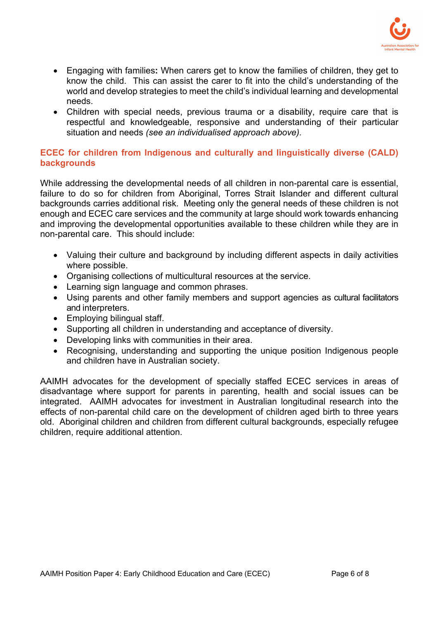

- Engaging with families**:** When carers get to know the families of children, they get to know the child. This can assist the carer to fit into the child's understanding of the world and develop strategies to meet the child's individual learning and developmental needs.
- Children with special needs, previous trauma or a disability, require care that is respectful and knowledgeable, responsive and understanding of their particular situation and needs *(see an individualised approach above).*

#### **ECEC for children from Indigenous and culturally and linguistically diverse (CALD) backgrounds**

While addressing the developmental needs of all children in non-parental care is essential, failure to do so for children from Aboriginal, Torres Strait Islander and different cultural backgrounds carries additional risk. Meeting only the general needs of these children is not enough and ECEC care services and the community at large should work towards enhancing and improving the developmental opportunities available to these children while they are in non-parental care. This should include:

- Valuing their culture and background by including different aspects in daily activities where possible.
- Organising collections of multicultural resources at the service.
- Learning sign language and common phrases.
- Using parents and other family members and support agencies as cultural facilitators and interpreters.
- Employing bilingual staff.
- Supporting all children in understanding and acceptance of diversity.
- Developing links with communities in their area.
- Recognising, understanding and supporting the unique position Indigenous people and children have in Australian society.

AAIMH advocates for the development of specially staffed ECEC services in areas of disadvantage where support for parents in parenting, health and social issues can be integrated. AAIMH advocates for investment in Australian longitudinal research into the effects of non-parental child care on the development of children aged birth to three years old. Aboriginal children and children from different cultural backgrounds, especially refugee children, require additional attention.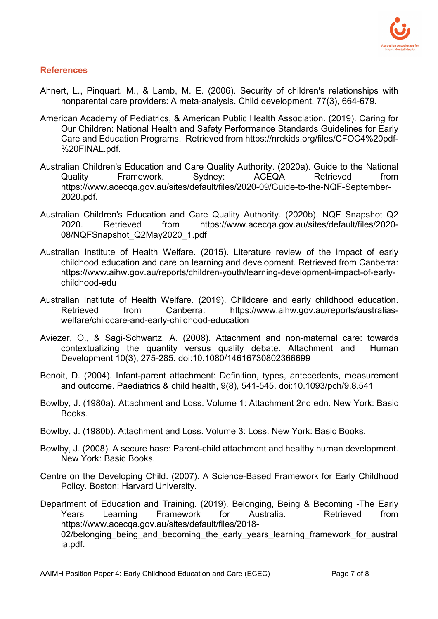

#### **References**

- Ahnert, L., Pinquart, M., & Lamb, M. E. (2006). Security of children's relationships with nonparental care providers: A meta-analysis. Child development, 77(3), 664-679.
- American Academy of Pediatrics, & American Public Health Association. (2019). Caring for Our Children: National Health and Safety Performance Standards Guidelines for Early Care and Education Programs. Retrieved from https://nrckids.org/files/CFOC4%20pdf- %20FINAL.pdf.
- Australian Children's Education and Care Quality Authority. (2020a). Guide to the National Quality Framework. Sydney: ACEQA Retrieved from https://www.acecqa.gov.au/sites/default/files/2020-09/Guide-to-the-NQF-September-2020.pdf.
- Australian Children's Education and Care Quality Authority. (2020b). NQF Snapshot Q2 2020. Retrieved from https://www.acecqa.gov.au/sites/default/files/2020- 08/NQFSnapshot\_Q2May2020\_1.pdf
- Australian Institute of Health Welfare. (2015). Literature review of the impact of early childhood education and care on learning and development. Retrieved from Canberra: https://www.aihw.gov.au/reports/children-youth/learning-development-impact-of-earlychildhood-edu
- Australian Institute of Health Welfare. (2019). Childcare and early childhood education. Retrieved from Canberra: https://www.aihw.gov.au/reports/australiaswelfare/childcare-and-early-childhood-education
- Aviezer, O., & Sagi-Schwartz, A. (2008). Attachment and non-maternal care: towards contextualizing the quantity versus quality debate. Attachment and Human Development 10(3), 275-285. doi:10.1080/14616730802366699
- Benoit, D. (2004). Infant-parent attachment: Definition, types, antecedents, measurement and outcome. Paediatrics & child health, 9(8), 541-545. doi:10.1093/pch/9.8.541
- Bowlby, J. (1980a). Attachment and Loss. Volume 1: Attachment 2nd edn. New York: Basic Books.
- Bowlby, J. (1980b). Attachment and Loss. Volume 3: Loss. New York: Basic Books.
- Bowlby, J. (2008). A secure base: Parent-child attachment and healthy human development. New York: Basic Books.
- Centre on the Developing Child. (2007). A Science-Based Framework for Early Childhood Policy. Boston: Harvard University.

Department of Education and Training. (2019). Belonging, Being & Becoming -The Early Years Learning Framework for Australia. Retrieved from https://www.acecqa.gov.au/sites/default/files/2018- 02/belonging being and becoming the early years learning framework for austral ia.pdf.